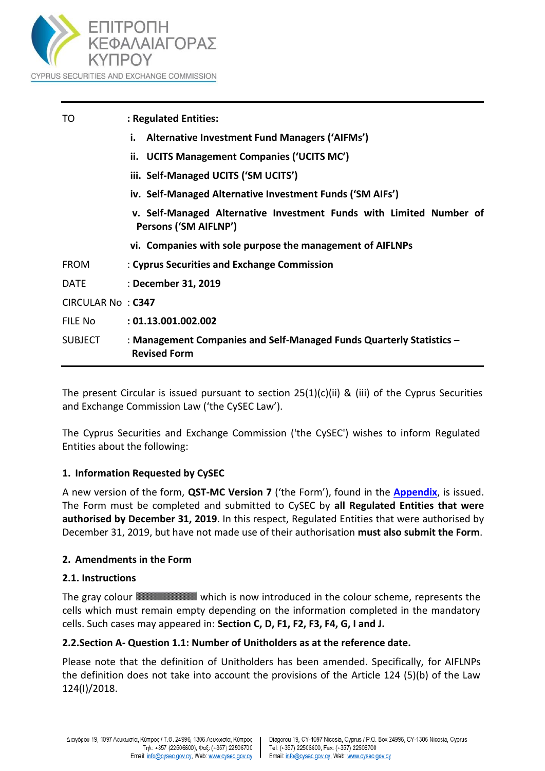

| TO                | : Regulated Entities:                                                                        |  |
|-------------------|----------------------------------------------------------------------------------------------|--|
|                   | <b>Alternative Investment Fund Managers ('AIFMs')</b><br>i.                                  |  |
|                   | ii. UCITS Management Companies ('UCITS MC')                                                  |  |
|                   | iii. Self-Managed UCITS ('SM UCITS')                                                         |  |
|                   | iv. Self-Managed Alternative Investment Funds ('SM AIFs')                                    |  |
|                   | v. Self-Managed Alternative Investment Funds with Limited Number of<br>Persons ('SM AIFLNP') |  |
|                   | vi. Companies with sole purpose the management of AIFLNPs                                    |  |
| <b>FROM</b>       | : Cyprus Securities and Exchange Commission                                                  |  |
| <b>DATE</b>       | : December 31, 2019                                                                          |  |
| CIRCULAR No: C347 |                                                                                              |  |
| FILE No           | : 01.13.001.002.002                                                                          |  |
| <b>SUBJECT</b>    | : Management Companies and Self-Managed Funds Quarterly Statistics -<br><b>Revised Form</b>  |  |

The present Circular is issued pursuant to section  $25(1)(c)(ii)$  & (iii) of the Cyprus Securities and Exchange Commission Law ('the CySEC Law').

The Cyprus Securities and Exchange Commission ('the CySEC') wishes to inform Regulated Entities about the following:

### **1. Information Requested by CySEC**

A new version of the form, **QST-MC Version 7** ('the Form'), found in the **[Appendix](https://www.cysec.gov.cy/legislation/collective-investment/AIFM/forms/78541/)**, is issued. The Form must be completed and submitted to CySEC by **all Regulated Entities that were authorised by December 31, 2019**. In this respect, Regulated Entities that were authorised by December 31, 2019, but have not made use of their authorisation **must also submit the Form**.

### **2. Amendments in the Form**

#### **2.1. Instructions**

The gray colour **Which** is now introduced in the colour scheme, represents the cells which must remain empty depending on the information completed in the mandatory cells. Such cases may appeared in: **Section C, D, F1, F2, F3, F4, G, I and J.** 

### **2.2.Section A- Question 1.1: Number of Unitholders as at the reference date.**

Please note that the definition of Unitholders has been amended. Specifically, for AIFLNPs the definition does not take into account the provisions of the Article 124 (5)(b) of the Law 124(I)/2018.

 $\mathbf{L}$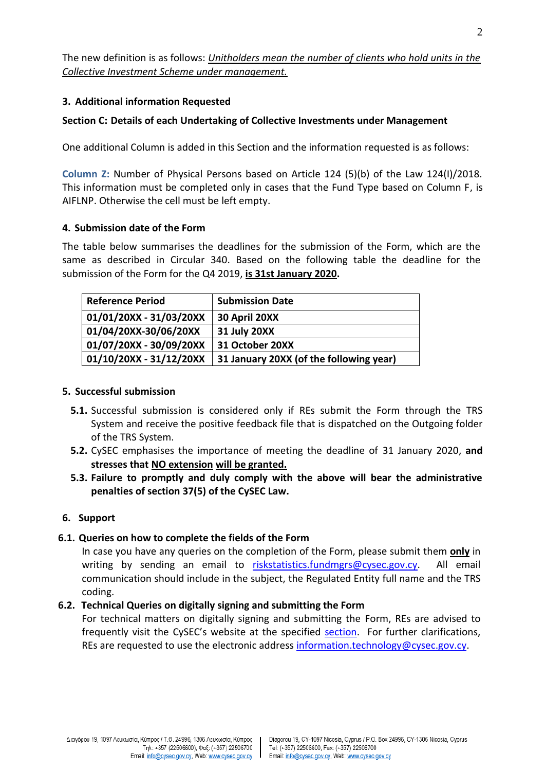The new definition is as follows: *Unitholders mean the number of clients who hold units in the Collective Investment Scheme under management.* 

## **3. Additional information Requested**

# **Section C: Details of each Undertaking of Collective Investments under Management**

One additional Column is added in this Section and the information requested is as follows:

**Column Z:** Number of Physical Persons based on Article 124 (5)(b) of the Law 124(I)/2018. This information must be completed only in cases that the Fund Type based on Column F, is AIFLNP. Otherwise the cell must be left empty.

### **4. Submission date of the Form**

The table below summarises the deadlines for the submission of the Form, which are the same as described in Circular 340. Based on the following table the deadline for the submission of the Form for the Q4 2019, **is 31st January 2020.**

| <b>Reference Period</b> | <b>Submission Date</b>                  |
|-------------------------|-----------------------------------------|
| 01/01/20XX - 31/03/20XX | 30 April 20XX                           |
| 01/04/20XX-30/06/20XX   | <b>31 July 20XX</b>                     |
| 01/07/20XX - 30/09/20XX | 31 October 20XX                         |
| 01/10/20XX - 31/12/20XX | 31 January 20XX (of the following year) |

#### **5. Successful submission**

- **5.1.** Successful submission is considered only if REs submit the Form through the TRS System and receive the positive feedback file that is dispatched on the Outgoing folder of the TRS System.
- **5.2.** CySEC emphasises the importance of meeting the deadline of 31 January 2020, **and stresses that NO extension will be granted.**
- **5.3. Failure to promptly and duly comply with the above will bear the administrative penalties of section 37(5) of the CySEC Law.**

### **6. Support**

### **6.1. Queries on how to complete the fields of the Form**

In case you have any queries on the completion of the Form, please submit them **only** in writing by sending an email to [riskstatistics.fundmgrs@cysec.gov.cy.](mailto:riskstatistics.fundmgrs@cysec.gov.cy) All email communication should include in the subject, the Regulated Entity full name and the TRS coding.

### **6.2. Technical Queries on digitally signing and submitting the Form**

For technical matters on digitally signing and submitting the Form, REs are advised to frequently visit the CySEC's website at the specified [section.](https://www.cysec.gov.cy/en-GB/entities/digital-signature/TRS-User-Manual/) For further clarifications, REs are requested to use the electronic addres[s information.technology@cysec.gov.cy.](mailto:information.technology@cysec.gov.cy)